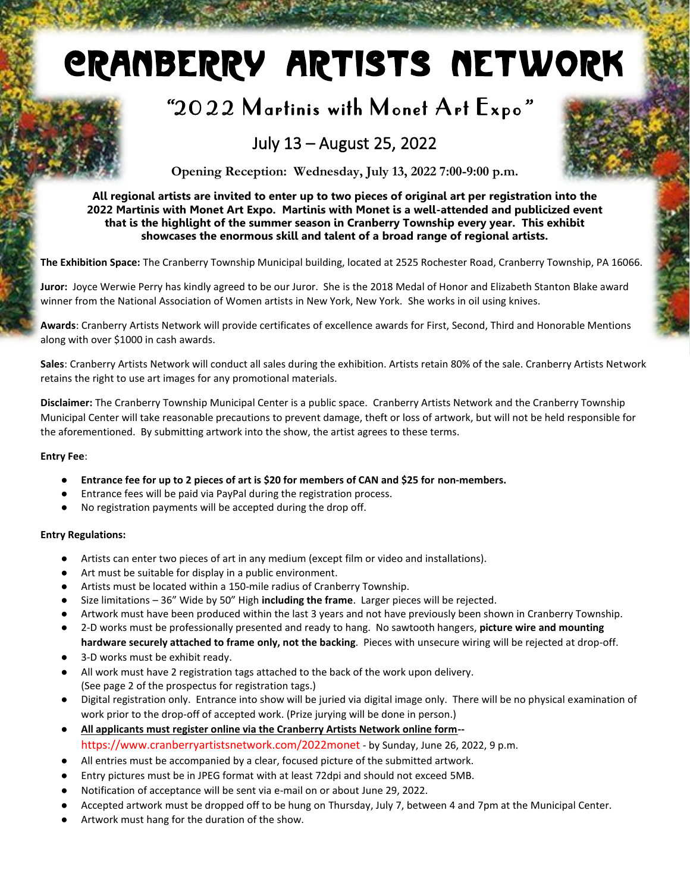# Cranberry Artists Network

## *"*2022 Martinis with Monet Art Expo *"*

### July 13 – August 25, 2022



**Opening Reception: Wednesday, July 13, 2022 7:00-9:00 p.m.**

**All regional artists are invited to enter up to two pieces of original art per registration into the 2022 Martinis with Monet Art Expo. Martinis with Monet is a well-attended and publicized event that is the highlight of the summer season in Cranberry Township every year. This exhibit showcases the enormous skill and talent of a broad range of regional artists.**

**The Exhibition Space:** The Cranberry Township Municipal building, located at 2525 Rochester Road, Cranberry Township, PA 16066.

**Juror:** Joyce Werwie Perry has kindly agreed to be our Juror. She is the 2018 Medal of Honor and Elizabeth Stanton Blake award winner from the National Association of Women artists in New York, New York. She works in oil using knives.

**Awards**: Cranberry Artists Network will provide certificates of excellence awards for First, Second, Third and Honorable Mentions along with over \$1000 in cash awards.

**Sales**: Cranberry Artists Network will conduct all sales during the exhibition. Artists retain 80% of the sale. Cranberry Artists Network retains the right to use art images for any promotional materials.

**Disclaimer:** The Cranberry Township Municipal Center is a public space. Cranberry Artists Network and the Cranberry Township Municipal Center will take reasonable precautions to prevent damage, theft or loss of artwork, but will not be held responsible for the aforementioned. By submitting artwork into the show, the artist agrees to these terms.

#### **Entry Fee**:

- **Entrance fee for up to 2 pieces of art is \$20 for members of CAN and \$25 for non-members.**
- Entrance fees will be paid via PayPal during the registration process.
- No registration payments will be accepted during the drop off.

#### **Entry Regulations:**

- Artists can enter two pieces of art in any medium (except film or video and installations).
- Art must be suitable for display in a public environment.
- Artists must be located within a 150-mile radius of Cranberry Township.
- Size limitations 36" Wide by 50" High **including the frame**. Larger pieces will be rejected.
- Artwork must have been produced within the last 3 years and not have previously been shown in Cranberry Township.
- 2-D works must be professionally presented and ready to hang. No sawtooth hangers, **picture wire and mounting hardware securely attached to frame only, not the backing**. Pieces with unsecure wiring will be rejected at drop-off.
- 3-D works must be exhibit ready.
- All work must have 2 registration tags attached to the back of the work upon delivery. (See page 2 of the prospectus for registration tags.)
- Digital registration only. Entrance into show will be juried via digital image only. There will be no physical examination of work prior to the drop-off of accepted work. (Prize jurying will be done in person.)
- **All applicants must register online via the Cranberry Artists Network online form-** https://www.cranberryartistsnetwork.com/2022monet - by Sunday, June 26, 2022, 9 p.m.
- All entries must be accompanied by a clear, focused picture of the submitted artwork.
- Entry pictures must be in JPEG format with at least 72dpi and should not exceed 5MB.
- Notification of acceptance will be sent via e-mail on or about June 29, 2022.
- Accepted artwork must be dropped off to be hung on Thursday, July 7, between 4 and 7pm at the Municipal Center.
- Artwork must hang for the duration of the show.